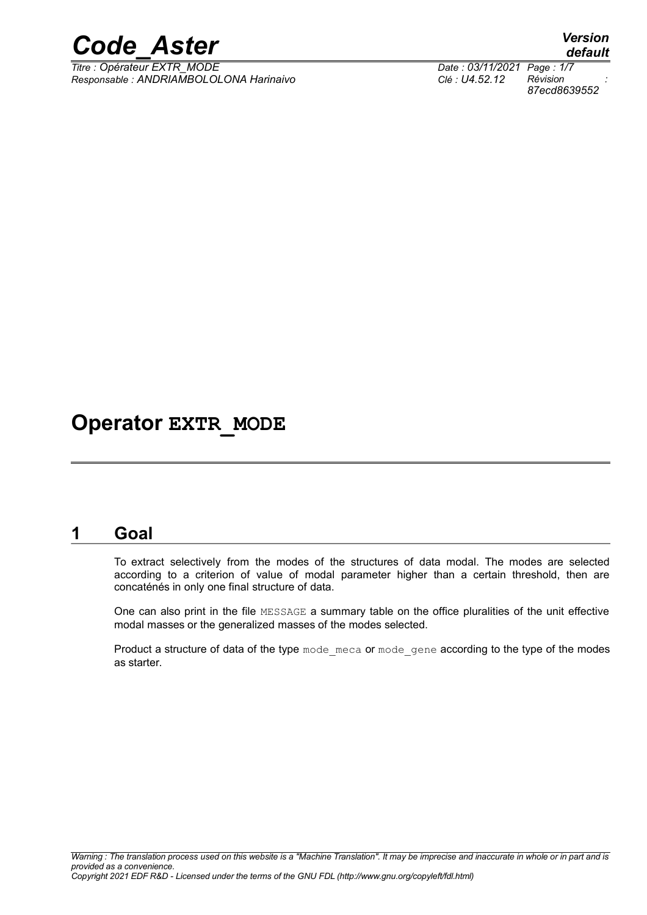

*Titre : Opérateur EXTR\_MODE Date : 03/11/2021 Page : 1/7 Responsable : ANDRIAMBOLOLONA Harinaivo Clé : U4.52.12 Révision :*

## **Operator EXTR\_MODE**

## **1 Goal**

To extract selectively from the modes of the structures of data modal. The modes are selected according to a criterion of value of modal parameter higher than a certain threshold, then are concaténés in only one final structure of data.

One can also print in the file MESSAGE a summary table on the office pluralities of the unit effective modal masses or the generalized masses of the modes selected.

Product a structure of data of the type mode meca or mode gene according to the type of the modes as starter.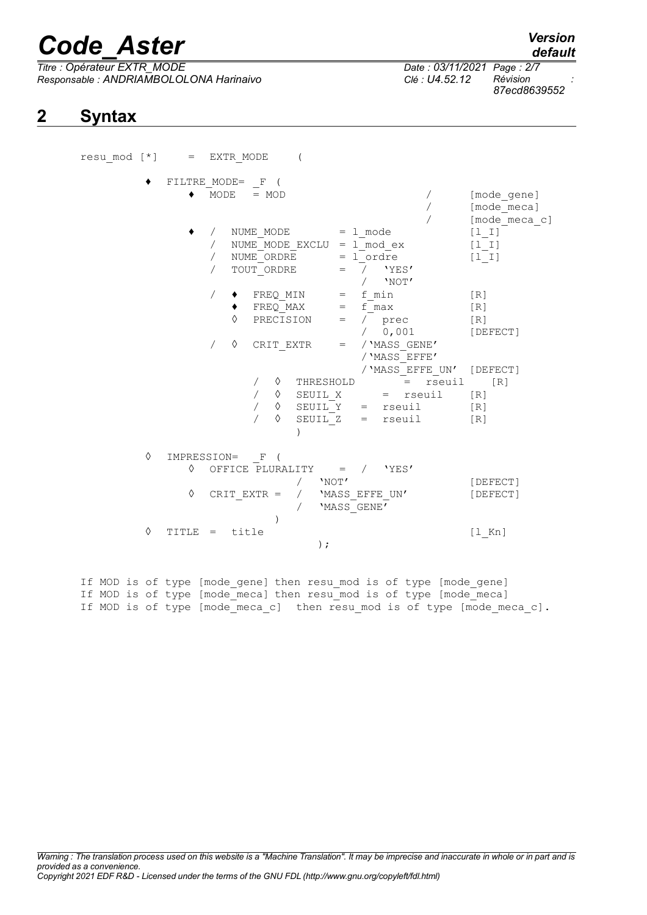# *Code\_Aster Version*

*Titre : Opérateur EXTR\_MODE Date : 03/11/2021 Page : 2/7 Responsable : ANDRIAMBOLOLONA Harinaivo Clé : U4.52.12 Révision :*

# *87ecd8639552*

*default*

## **2 Syntax**

|   |                 | resu mod [*] = EXTR MODE                                                                                                                                 |                                             |
|---|-----------------|----------------------------------------------------------------------------------------------------------------------------------------------------------|---------------------------------------------|
|   |                 | FILTRE MODE= $_F$ (<br>$MODE = MOD$                                                                                                                      | [mode_gene]<br>[mode meca]<br>[mode_meca_c] |
|   |                 | / NUME MODE = 1 mode<br>$NUME_MODE\_EXCLU = 1mod\_ex$<br>NUME ORDRE $= 1$ ordre<br>TOUT ORDRE $=$ / $'YES'$<br>$/$ 'NOT'                                 | $[1 \quad 1]$<br>$[1_1]$<br>$[1  I]$        |
|   |                 | $FREQ_MIN = f_{min}$<br>$FREQ_MAX = f_{max}$<br>PRECISION = $\sqrt{}$ prec<br>/ 0,001<br>♦<br>CRIT EXTR $=$ / 'MASS GENE'<br>/ 'MASS EFFE'               | [R]<br>$[ R ]$<br>[R]<br>[DEFECT]           |
|   |                 | / 'MASS EFFE UN' [DEFECT]<br>$\Diamond$ THRESHOLD = rseuil [R]<br>$\lozenge$ SEUIL_X<br>= rseuil<br>$\Diamond$ SEUIL Y = rseuil<br>SEUIL Z = rseuil<br>♦ | [R]<br>[R]<br>$[R]1$                        |
| ♦ | $\Diamond$<br>♦ | IMPRESSION= F (<br>OFFICE PLURALITY = / 'YES'<br>'NOT'<br>/ 'MASS_EFFE_UN'<br>CRIT EXTR =<br>'MASS GENE <sup>T</sup>                                     | [DEFECT]<br>[DEFECT]                        |
| ♦ | TITLE           | title<br>$\mathbf{r} = \mathbf{r}$<br>$)$ ;                                                                                                              | $[1$ Kn]                                    |

If MOD is of type [mode gene] then resu mod is of type [mode gene] If MOD is of type [mode meca] then resu mod is of type [mode meca] If MOD is of type [mode meca c] then resu mod is of type [mode meca c].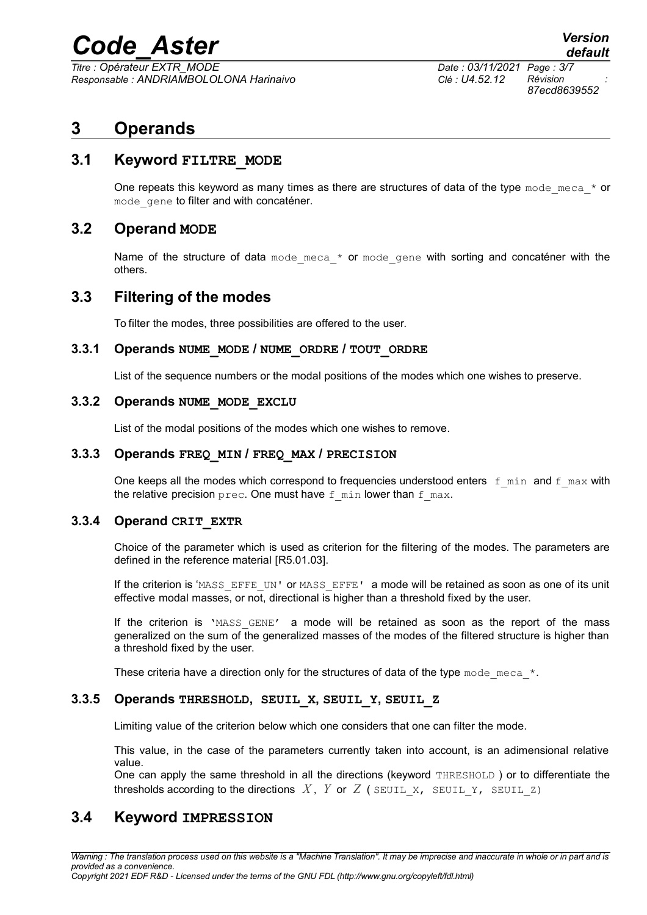# *Code\_Aster Version*

*Titre : Opérateur EXTR\_MODE Date : 03/11/2021 Page : 3/7 Responsable : ANDRIAMBOLOLONA Harinaivo Clé : U4.52.12 Révision :*

*87ecd8639552*

## **3 Operands**

#### **3.1 Keyword FILTRE\_MODE**

One repeats this keyword as many times as there are structures of data of the type mode meca  $*$  or mode gene to filter and with concaténer.

#### **3.2 Operand MODE**

Name of the structure of data mode meca  $*$  or mode gene with sorting and concaténer with the others.

#### **3.3 Filtering of the modes**

To filter the modes, three possibilities are offered to the user.

#### **3.3.1 Operands NUME\_MODE / NUME\_ORDRE / TOUT\_ORDRE**

List of the sequence numbers or the modal positions of the modes which one wishes to preserve.

#### **3.3.2 Operands NUME\_MODE\_EXCLU**

List of the modal positions of the modes which one wishes to remove.

#### **3.3.3 Operands FREQ\_MIN / FREQ\_MAX / PRECISION**

One keeps all the modes which correspond to frequencies understood enters  $f$  min and  $f$  max with the relative precision prec. One must have  $f$  min lower than  $f$  max.

#### **3.3.4 Operand CRIT\_EXTR**

Choice of the parameter which is used as criterion for the filtering of the modes. The parameters are defined in the reference material [R5.01.03].

If the criterion is 'MASS\_EFFE\_UN' or MASS\_EFFE' a mode will be retained as soon as one of its unit effective modal masses, or not, directional is higher than a threshold fixed by the user.

If the criterion is 'MASS GENE' a mode will be retained as soon as the report of the mass generalized on the sum of the generalized masses of the modes of the filtered structure is higher than a threshold fixed by the user.

These criteria have a direction only for the structures of data of the type mode meca $*$ .

#### **3.3.5 Operands THRESHOLD, SEUIL\_X, SEUIL\_Y, SEUIL\_Z**

Limiting value of the criterion below which one considers that one can filter the mode.

This value, in the case of the parameters currently taken into account, is an adimensional relative value.

One can apply the same threshold in all the directions (keyword THRESHOLD) or to differentiate the thresholds according to the directions  $X$ ,  $Y$  or  $Z$  ( SEUIL  $X$ , SEUIL  $Y$ , SEUIL  $Z$ )

#### **3.4 Keyword IMPRESSION**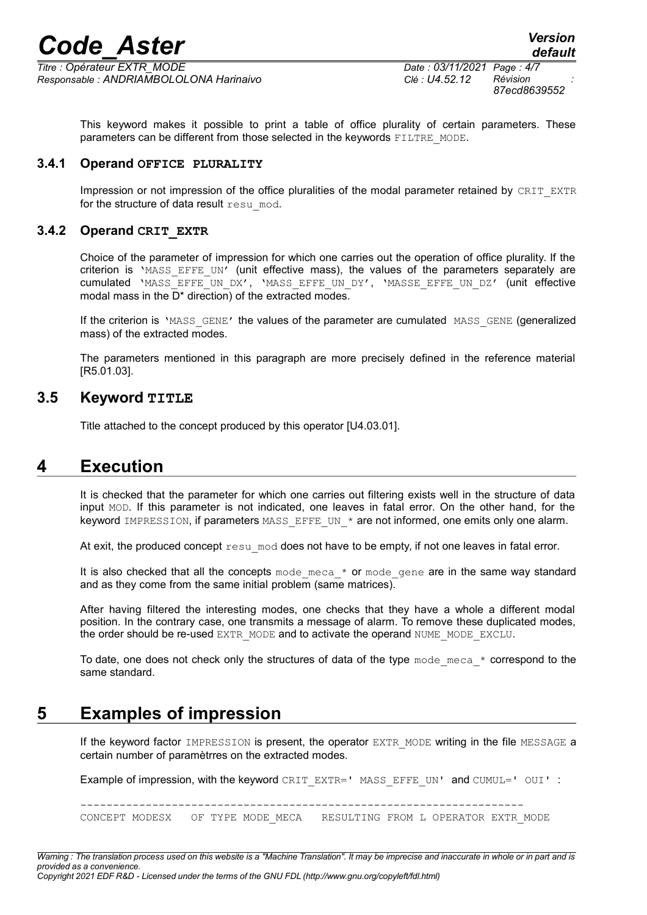*Code\_Aster Version*

*Titre : Opérateur EXTR\_MODE Date : 03/11/2021 Page : 4/7 Responsable : ANDRIAMBOLOLONA Harinaivo Clé : U4.52.12 Révision :*

*87ecd8639552*

This keyword makes it possible to print a table of office plurality of certain parameters. These parameters can be different from those selected in the keywords FILTRE\_MODE.

#### **3.4.1 Operand OFFICE PLURALITY**

Impression or not impression of the office pluralities of the modal parameter retained by CRIT\_EXTR for the structure of data result resu mod.

#### **3.4.2 Operand CRIT\_EXTR**

Choice of the parameter of impression for which one carries out the operation of office plurality. If the criterion is 'MASS EFFE UN' (unit effective mass), the values of the parameters separately are cumulated 'MASS EFFE UN DX', 'MASS EFFE UN DY', 'MASSE EFFE UN DZ' (unit effective modal mass in the D\* direction) of the extracted modes.

If the criterion is 'MASS GENE' the values of the parameter are cumulated MASS GENE (generalized mass) of the extracted modes.

The parameters mentioned in this paragraph are more precisely defined in the reference material [R5.01.03].

#### **3.5 Keyword TITLE**

Title attached to the concept produced by this operator [U4.03.01].

### **4 Execution**

It is checked that the parameter for which one carries out filtering exists well in the structure of data input MOD. If this parameter is not indicated, one leaves in fatal error. On the other hand, for the keyword IMPRESSION, if parameters MASS EFFE UN  $*$  are not informed, one emits only one alarm.

At exit, the produced concept  $r \in \mathbb{R}^n$  mod does not have to be empty, if not one leaves in fatal error.

It is also checked that all the concepts mode meca  $*$  or mode gene are in the same way standard and as they come from the same initial problem (same matrices).

After having filtered the interesting modes, one checks that they have a whole a different modal position. In the contrary case, one transmits a message of alarm. To remove these duplicated modes, the order should be re-used EXTR\_MODE and to activate the operand NUME\_MODE\_EXCLU.

To date, one does not check only the structures of data of the type  $\text{mode} \text{meca} * \text{correspond to the}$ same standard.

## **5 Examples of impression**

If the keyword factor IMPRESSION is present, the operator EXTR\_MODE writing in the file MESSAGE a certain number of paramètrres on the extracted modes.

Example of impression, with the keyword CRIT\_EXTR=' MASS\_EFFE\_UN' and CUMUL='  $OUI'$  :

--------------------------------------------------------------------

CONCEPT MODESX OF TYPE MODE MECA RESULTING FROM L OPERATOR EXTR MODE

*Warning : The translation process used on this website is a "Machine Translation". It may be imprecise and inaccurate in whole or in part and is provided as a convenience. Copyright 2021 EDF R&D - Licensed under the terms of the GNU FDL (http://www.gnu.org/copyleft/fdl.html)*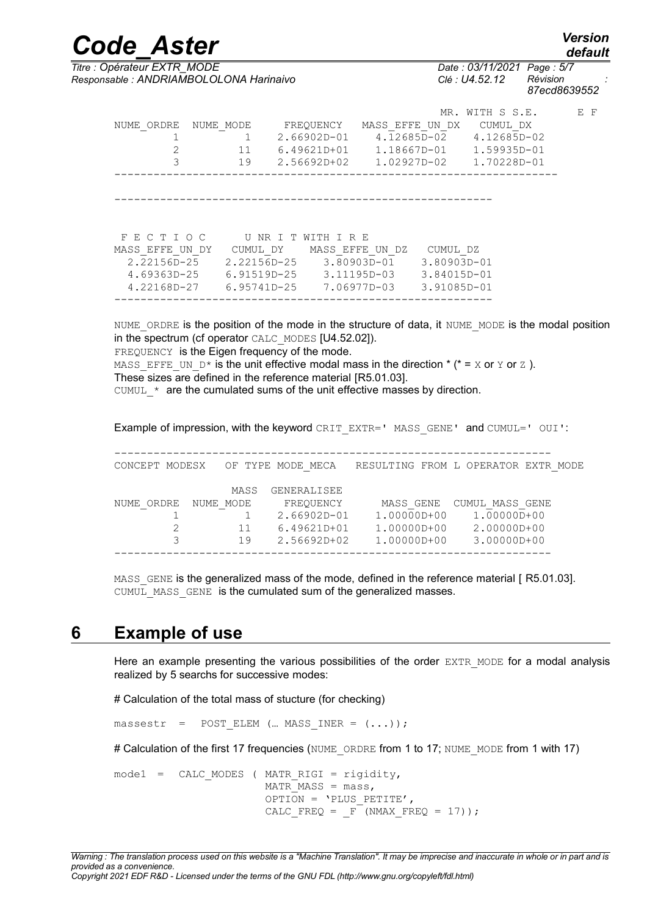*default*

*Code\_Aster Version Titre : Opérateur EXTR\_MODE Date : 03/11/2021 Page : 5/7 Responsable : ANDRIAMBOLOLONA Harinaivo Clé : U4.52.12 Révision :*

*87ecd8639552*

| NUME ORDRE                                                           | NUME MODE<br>11<br>19                                 | FREQUENCY<br>$2.66902D - 01$<br>$6.49621D+01$<br>2.56692D+02 | MASS EFFE UN DX            | MR .<br>4.12685D-02<br>1.18667D-01<br>1.02927D-02         | WITH S S.E.<br>CUMUL DX<br>4.12685D-02<br>$1.59935D - 01$<br>1.70228D-01 | E F |
|----------------------------------------------------------------------|-------------------------------------------------------|--------------------------------------------------------------|----------------------------|-----------------------------------------------------------|--------------------------------------------------------------------------|-----|
| FECTIOC                                                              |                                                       | UNRITWITHIRE                                                 |                            |                                                           |                                                                          |     |
| MASS EFFE UN DY<br>$2.22156D - 25$<br>4.69363D-25<br>$4.22168D - 27$ | 2.22156D-25<br>6.91519D-25 3.11195D-03<br>6.95741D-25 | CUMUL DY MASS EFFE UN DZ                                     | 3.80903D-01<br>7.06977D-03 | CUMUL DZ<br>$3.80903D - 01$<br>3.84015D-01<br>3.91085D-01 |                                                                          |     |

NUME\_ORDRE is the position of the mode in the structure of data, it NUME\_MODE is the modal position in the spectrum (cf operator CALC\_MODES [U4.52.02]). FREQUENCY is the Eigen frequency of the mode. MASS EFFE UN  $D^*$  is the unit effective modal mass in the direction  $*(\bullet = X \text{ or } Y \text{ or } Z)$ . These sizes are defined in the reference material [R5.01.03]. CUMUL  $*$  are the cumulated sums of the unit effective masses by direction.

Example of impression, with the keyword CRIT\_EXTR=' MASS\_GENE' and CUMUL=' OUI':

| CONCEPT MODESX |           |      | OF TYPE MODE MECA | RESULTING FROM L OPERATOR EXTR MODE |  |                 |  |
|----------------|-----------|------|-------------------|-------------------------------------|--|-----------------|--|
|                |           | MASS | GENERALISEE       |                                     |  |                 |  |
| NUME ORDRE     | NUME MODE |      | FREOUENCY         | MASS GENE                           |  | CUMUL MASS GENE |  |
|                |           |      | $2.66902D - 01$   | $1.00000D + 00$                     |  | $1.00000D+00$   |  |
|                |           | 11   | 6.49621D+01       | 1.00000D+00                         |  | $2.00000D + 00$ |  |
|                |           | 19   | $2.56692D + 02$   | $1.00000D + 00$                     |  | $3.00000D + 00$ |  |
|                |           |      |                   |                                     |  |                 |  |

MASS GENE is the generalized mass of the mode, defined in the reference material [ R5.01.03]. CUMUL MASS GENE is the cumulated sum of the generalized masses.

### **6 Example of use**

Here an example presenting the various possibilities of the order EXTR MODE for a modal analysis realized by 5 searchs for successive modes:

# Calculation of the total mass of stucture (for checking)

massestr = POST ELEM (... MASS INER =  $(...)$ );

# Calculation of the first 17 frequencies (NUME ORDRE from 1 to 17; NUME MODE from 1 with 17)

 $model = CALC MODES$  (MATR RIGI = rigidity, MATR MASS =  $mass,$ OPTION = 'PLUS\_PETITE', CALC FREQ =  $F$  (NMAX FREQ = 17));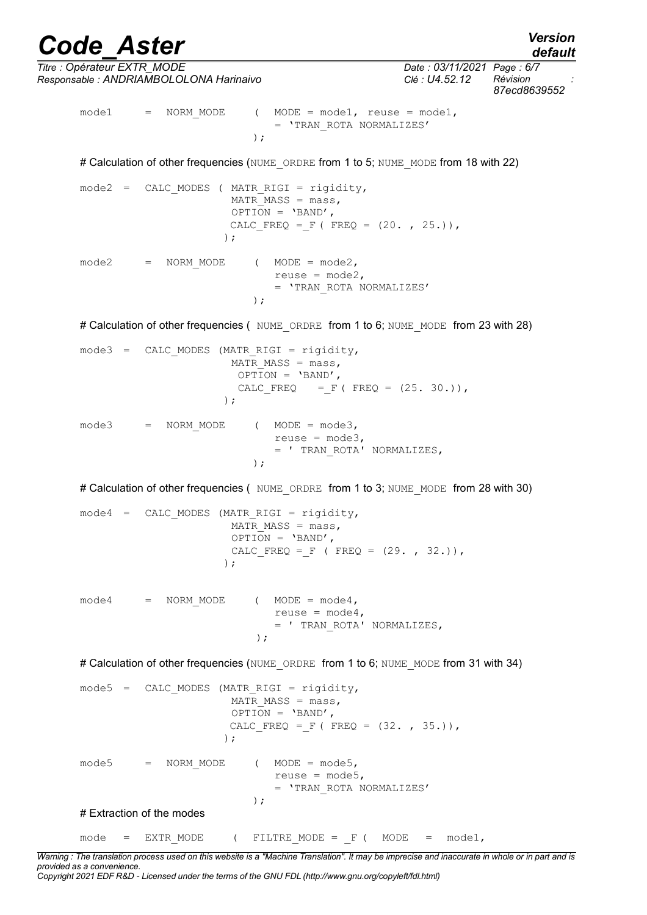*Titre : Opérateur EXTR\_MODE Date : 03/11/2021 Page : 6/7*

*Responsable : ANDRIAMBOLOLONA Harinaivo Clé : U4.52.12 Révision : 87ecd8639552*  $model$  = NORM MODE ( MODE = mode1, reuse = mode1, = 'TRAN\_ROTA NORMALIZES' ); # Calculation of other frequencies (NUME\_ORDRE from 1 to 5; NUME\_MODE from 18 with 22)  $mode2 = CALC MODES$  (MATR RIGI = rigidity, MATR MASS =  $mass,$  $OPTION = 'BAND',$ CALC FREQ = F ( FREQ =  $(20. , 25.))$ , )  $\mathbf{r}$  $mode2 = NORM MODE$  ( $MODE = mode2$ , reuse = mode2, = 'TRAN\_ROTA NORMALIZES' ); # Calculation of other frequencies ( NUME\_ORDRE from 1 to 6; NUME\_MODE from 23 with 28)  $mode3 = CALC MODES (MATR RIGI = rigidity,$ MATR MASS =  $mass,$  $\overline{OPTION}$  = 'BAND', CALC FREQ = F ( FREQ =  $(25. 30.))$ , )  $\mathbf{r}$  $mode3 = NORM MODE$  ( $MODE = mode3$ , reuse = mode3, = ' TRAN\_ROTA' NORMALIZES, ); # Calculation of other frequencies ( NUME ORDRE from 1 to 3; NUME MODE from 28 with 30)  $mode4 = CALC MODES (MATR RIGI = rigidity,$ MATR MASS =  $mass,$  $OPTION = 'BAND',$ CALC FREQ = F ( FREQ =  $(29. , 32.))$ , ) :  $mode4 = NORM MODE$  ( $MODE = mode4$ , reuse =  $mode4$ , = ' TRAN\_ROTA' NORMALIZES, ); # Calculation of other frequencies (NUME\_ORDRE from 1 to 6; NUME\_MODE from 31 with 34)  $mode5$  = CALC MODES (MATR RIGI = rigidity, MATR MASS =  $mass,$  $OPTION = 'BAND',$ CALC FREQ = F ( FREQ =  $(32. , 35.))$ , )  $\mathbf{r}$  $mode5 = NORM MODE$  ( $MODE = mode5$ , reuse =  $mode5$ , = 'TRAN\_ROTA NORMALIZES' ); # Extraction of the modes

 $mode = EXTR MODE$  (FILTRE\_MODE = F (MODE = mode1,

*Warning : The translation process used on this website is a "Machine Translation". It may be imprecise and inaccurate in whole or in part and is provided as a convenience. Copyright 2021 EDF R&D - Licensed under the terms of the GNU FDL (http://www.gnu.org/copyleft/fdl.html)*